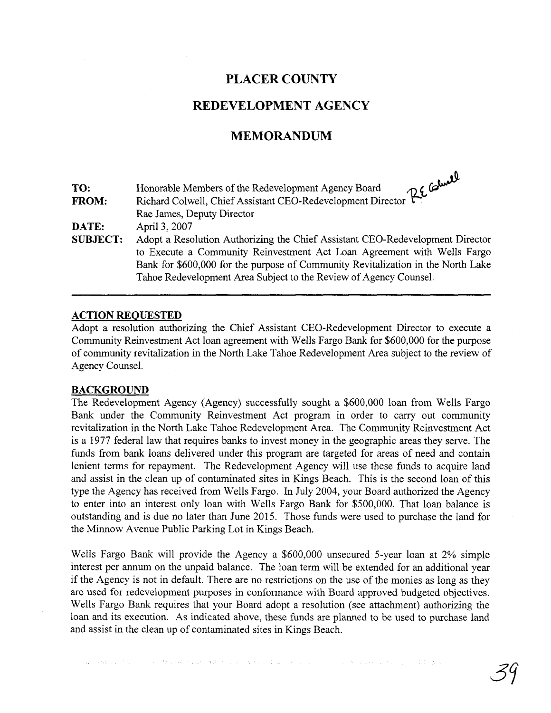## **PLACER COUNTY**

## **REDEVELOPMENT AGENCY**

### **MEMORANDUM**

| TO:             | Richard Colwell, Chief Assistant CEO-Redevelopment Director Reporter Calmere James, Deputy Director |
|-----------------|-----------------------------------------------------------------------------------------------------|
| <b>FROM:</b>    |                                                                                                     |
|                 |                                                                                                     |
| DATE:           | April 3, 2007                                                                                       |
| <b>SUBJECT:</b> | Adopt a Resolution Authorizing the Chief Assistant CEO-Redevelopment Director                       |
|                 | to Execute a Community Reinvestment Act Loan Agreement with Wells Fargo                             |
|                 | Bank for \$600,000 for the purpose of Community Revitalization in the North Lake                    |
|                 | Tahoe Redevelopment Area Subject to the Review of Agency Counsel.                                   |

#### **ACTION REQUESTED**

Adopt a resolution authorizing the Chief Assistant CEO-Redevelopment Director to execute a Community Reinvestment Act loan agreement with Wells Fargo Bank for \$600,000 for the purpose of community revitalization in the North Lake Tahoe Redevelopment Area subject to the review of Agency Counsel.

#### **BACKGROUND**

The Redevelopment Agency (Agency) successfully sought a \$600,000 loan from Wells Fargo Bank under the Community Reinvestment Act program in order to carry out community revitalization in the North Lake Tahoe Redevelopment Area. The Community Reinvestment Act is a 1977 federal law that requires banks to invest money in the geographic areas they serve. The funds from bank loans delivered under this program are targeted for areas of need and contain lenient terms for repayment. The Redevelopment Agency will use these funds to acquire land and assist in the clean up of contaminated sites in Kings Beach. This is the second loan of this type the Agency has received from Wells Fargo. In July 2004, your Board authorized the Agency to enter into an interest only loan with Wells Fargo Bank for \$500,000. That loan balance is outstanding and is due no later than June 2015. Those funds were used to purchase the land for the Minnow Avenue Public Parking Lot in Kings Beach.

Wells Fargo Bank will provide the Agency a \$600,000 unsecured 5-year loan at 2% simple interest per annum on the unpaid balance. The loan term will be extended for an additional year if the Agency is not in default. There are no restrictions on the use of the monies as long as they are used for redevelopment purposes in conformance with Board approved budgeted objectives. Wells Fargo Bank requires that your Board adopt a resolution (see attachment) authorizing the loan and its execution. As indicated above, these funds are planned to be used to purchase land and assist in the clean up of contaminated sites in Kings Beach.

A WINDOWS CONTROL OF THE COMPANY OF THE SAME AND THE CONTROL OF THE CONTROL OF THE CONTROL OF THE CONTROL OF T

. ٨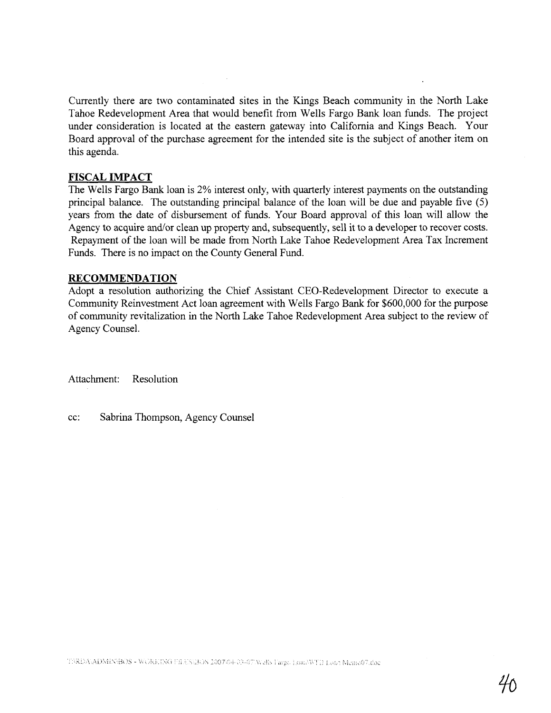Currently there are two contaminated sites in the Kings Beach community in the North Lake Tahoe Redevelopment Area that would benefit from Wells Fargo Bank loan funds. The project under consideration is located at the eastern gateway into California and Kings Beach. Your Board approval of the purchase agreement for the intended site is the subject of another item on this agenda.

#### **FISCAL IMPACT**

The Wells Fargo Bank loan is 2% interest only, with quarterly interest payments on the outstanding principal balance. The outstanding principal balance of the loan will be due and payable five (5) years from the date of disbursement of funds. Your Board approval of this loan will allow the Agency to acquire and/or clean up property and, subsequently, sell it to a developer to recover costs. Repayment of the loan will be made from North Lake Tahoe Redevelopment Area Tax Increment Funds. There is no impact on the County General Fund.

#### **RECOMMENDATION**

Adopt a resolution authorizing the Chief Assistant CEO-Redevelopment Director to execute a Community Reinvestment Act loan agreement with Wells Fargo Bank for \$600,000 for the purpose of community revitalization in the North Lake Tahoe Redevelopment Area subject to the review of Agency Counsel.

Attachment: Resolution

cc: Sabrina Thompson, Agency Counsel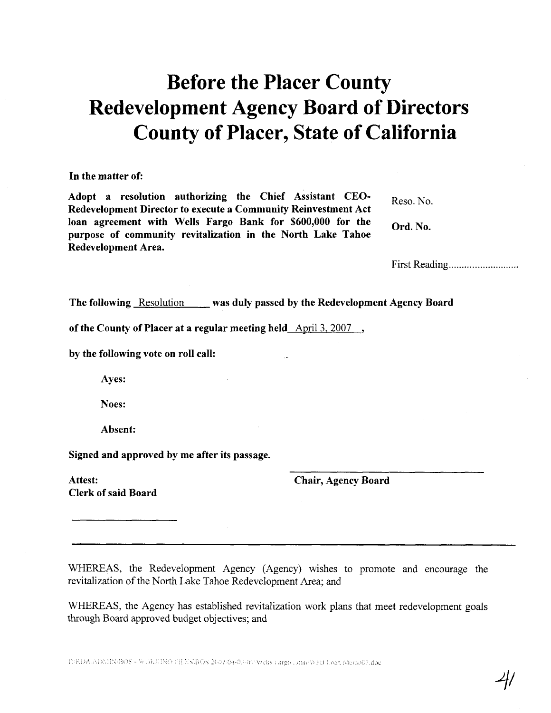# Before the Placer County Redevelopment Agency Board of Directors County of Placer, State of California

#### In the matter of:

Adopt a resolution authorizing the Chief Assistant CEO-  $_{\text{Reso. No.}}$ Redevelopment Director to execute a Community Reinvestment Act loan agreement with Wells Fargo Bank for \$600,000 for the Ord. No. purpose of community revitalization in the North Lake Tahoe Redevelopment Area.

First Reading ......... .............

The following Resolution was duly passed by the Redevelopment Agency Board

of the County of Placer at a regular meeting held April 3.2007 ,

by the following vote on roll call:

Ayes:

Noes:

Absent:

Signed and approved by me after its passage.

Attest: Clerk of said Board chair, Agency Board

WHEREAS, the Redevelopment Agency (Agency) wishes to promote and encourage the revitalization of the North Lake Tahoe Redevelopment Area; and

WHEREAS, the Agency has established revitalization work plans that meet redevelopment goals through Board approved budget objectives; and

T:\RDA\ADMIN\BOS - WORKING ULES\BOS 2007\04-0.0-0?\Wells Fargo Loan\WFB Loan Memo07.doc